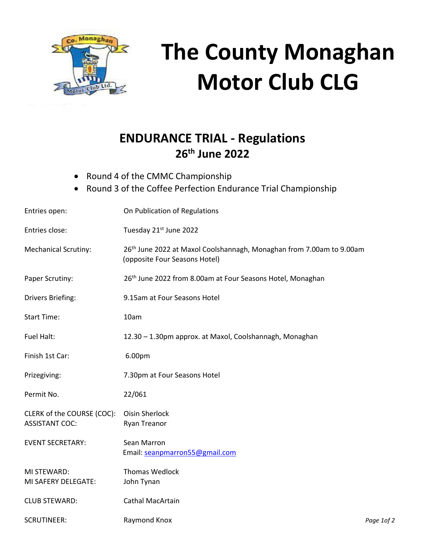

# **The County Monaghan Motor Club CLG**

# **ENDURANCE TRIAL - Regulations 26th June 2022**

- Round 4 of the CMMC Championship
- Round 3 of the Coffee Perfection Endurance Trial Championship

| Entries open:                                       | On Publication of Regulations                                                                                     |            |
|-----------------------------------------------------|-------------------------------------------------------------------------------------------------------------------|------------|
| Entries close:                                      | Tuesday 21st June 2022                                                                                            |            |
| <b>Mechanical Scrutiny:</b>                         | 26 <sup>th</sup> June 2022 at Maxol Coolshannagh, Monaghan from 7.00am to 9.00am<br>(opposite Four Seasons Hotel) |            |
| Paper Scrutiny:                                     | 26th June 2022 from 8.00am at Four Seasons Hotel, Monaghan                                                        |            |
| Drivers Briefing:                                   | 9.15am at Four Seasons Hotel                                                                                      |            |
| <b>Start Time:</b>                                  | 10am                                                                                                              |            |
| Fuel Halt:                                          | 12.30 - 1.30pm approx. at Maxol, Coolshannagh, Monaghan                                                           |            |
| Finish 1st Car:                                     | 6.00pm                                                                                                            |            |
| Prizegiving:                                        | 7.30pm at Four Seasons Hotel                                                                                      |            |
| Permit No.                                          | 22/061                                                                                                            |            |
| CLERK of the COURSE (COC):<br><b>ASSISTANT COC:</b> | <b>Oisin Sherlock</b><br>Ryan Treanor                                                                             |            |
| <b>EVENT SECRETARY:</b>                             | Sean Marron<br>Email: seanpmarron55@gmail.com                                                                     |            |
| MI STEWARD:<br>MI SAFERY DELEGATE:                  | <b>Thomas Wedlock</b><br>John Tynan                                                                               |            |
| <b>CLUB STEWARD:</b>                                | <b>Cathal MacArtain</b>                                                                                           |            |
| <b>SCRUTINEER:</b>                                  | Raymond Knox                                                                                                      | Page 1of 2 |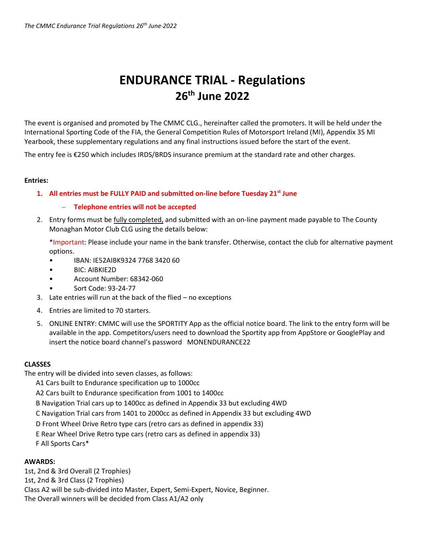# **ENDURANCE TRIAL - Regulations 26th June 2022**

The event is organised and promoted by The CMMC CLG., hereinafter called the promoters. It will be held under the International Sporting Code of the FIA, the General Competition Rules of Motorsport Ireland (MI), Appendix 35 MI Yearbook, these supplementary regulations and any final instructions issued before the start of the event.

The entry fee is €250 which includes IRDS/BRDS insurance premium at the standard rate and other charges.

## **Entries:**

**1. All entries must be FULLY PAID and submitted on-line before Tuesday 21st June** 

# **Telephone entries will not be accepted**

2. Entry forms must be fully completed, and submitted with an on-line payment made payable to The County Monaghan Motor Club CLG using the details below:

\*Important: Please include your name in the bank transfer. Otherwise, contact the club for alternative payment options.

- IBAN: IE52AIBK9324 7768 3420 60
- BIC: AIBKIE2D
- Account Number: 68342-060
- Sort Code: 93-24-77
- 3. Late entries will run at the back of the flied no exceptions
- 4. Entries are limited to 70 starters.
- 5. ONLINE ENTRY: CMMC will use the SPORTITY App as the official notice board. The link to the entry form will be available in the app. Competitors/users need to download the Sportity app from AppStore or GooglePlay and insert the notice board channel's password MONENDURANCE22

# **CLASSES**

The entry will be divided into seven classes, as follows:

- A1 Cars built to Endurance specification up to 1000cc
- A2 Cars built to Endurance specification from 1001 to 1400cc
- B Navigation Trial cars up to 1400cc as defined in Appendix 33 but excluding 4WD
- C Navigation Trial cars from 1401 to 2000cc as defined in Appendix 33 but excluding 4WD
- D Front Wheel Drive Retro type cars (retro cars as defined in appendix 33)
- E Rear Wheel Drive Retro type cars (retro cars as defined in appendix 33)
- F All Sports Cars\*

# **AWARDS:**

1st, 2nd & 3rd Overall (2 Trophies) 1st, 2nd & 3rd Class (2 Trophies) Class A2 will be sub-divided into Master, Expert, Semi-Expert, Novice, Beginner. The Overall winners will be decided from Class A1/A2 only